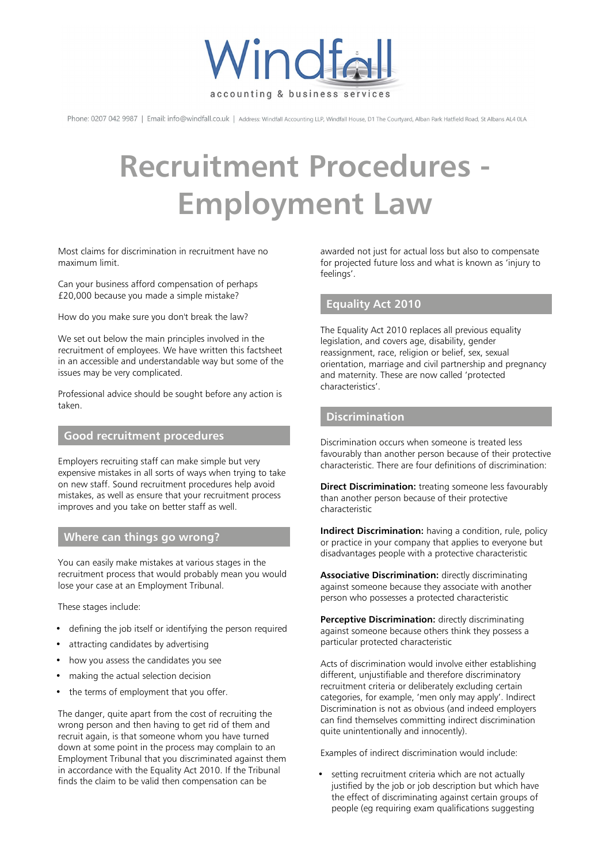

Phone: 0207 042 9987 | Email: info@windfall.co.uk | Address: Windfall Accounting LLP, Windfall House, D1 The Courtyard, Alban Park Hatfield Road, St Albans AL4 0LA

# **Recruitment Procedures - Employment Law**

Most claims for discrimination in recruitment have no maximum limit.

Can your business afford compensation of perhaps £20,000 because you made a simple mistake?

How do you make sure you don't break the law?

We set out below the main principles involved in the recruitment of employees. We have written this factsheet in an accessible and understandable way but some of the issues may be very complicated.

Professional advice should be sought before any action is taken.

#### **Good recruitment procedures**

Employers recruiting staff can make simple but very expensive mistakes in all sorts of ways when trying to take on new staff. Sound recruitment procedures help avoid mistakes, as well as ensure that your recruitment process improves and you take on better staff as well.

### **Where can things go wrong?**

You can easily make mistakes at various stages in the recruitment process that would probably mean you would lose your case at an Employment Tribunal.

These stages include:

- defining the job itself or identifying the person required
- attracting candidates by advertising
- how you assess the candidates you see
- making the actual selection decision
- the terms of employment that you offer.

The danger, quite apart from the cost of recruiting the wrong person and then having to get rid of them and recruit again, is that someone whom you have turned down at some point in the process may complain to an Employment Tribunal that you discriminated against them in accordance with the Equality Act 2010. If the Tribunal finds the claim to be valid then compensation can be

awarded not just for actual loss but also to compensate for projected future loss and what is known as 'injury to feelings'.

### **Equality Act 2010**

The Equality Act 2010 replaces all previous equality legislation, and covers age, disability, gender reassignment, race, religion or belief, sex, sexual orientation, marriage and civil partnership and pregnancy and maternity. These are now called 'protected characteristics'.

## **Discrimination**

Discrimination occurs when someone is treated less favourably than another person because of their protective characteristic. There are four definitions of discrimination:

**Direct Discrimination:** treating someone less favourably than another person because of their protective characteristic

**Indirect Discrimination:** having a condition, rule, policy or practice in your company that applies to everyone but disadvantages people with a protective characteristic

**Associative Discrimination:** directly discriminating against someone because they associate with another person who possesses a protected characteristic

**Perceptive Discrimination:** directly discriminating against someone because others think they possess a particular protected characteristic

Acts of discrimination would involve either establishing different, unjustifiable and therefore discriminatory recruitment criteria or deliberately excluding certain categories, for example, 'men only may apply'. Indirect Discrimination is not as obvious (and indeed employers can find themselves committing indirect discrimination quite unintentionally and innocently).

Examples of indirect discrimination would include:

• setting recruitment criteria which are not actually justified by the job or job description but which have the effect of discriminating against certain groups of people (eg requiring exam qualifications suggesting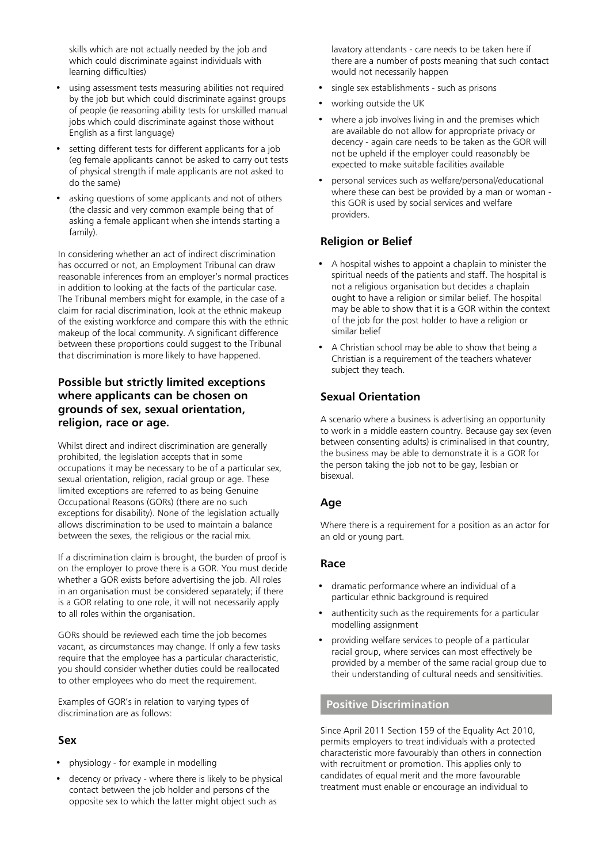skills which are not actually needed by the job and which could discriminate against individuals with learning difficulties)

- using assessment tests measuring abilities not required by the job but which could discriminate against groups of people (ie reasoning ability tests for unskilled manual jobs which could discriminate against those without English as a first language)
- setting different tests for different applicants for a job (eg female applicants cannot be asked to carry out tests of physical strength if male applicants are not asked to do the same)
- asking questions of some applicants and not of others (the classic and very common example being that of asking a female applicant when she intends starting a family).

In considering whether an act of indirect discrimination has occurred or not, an Employment Tribunal can draw reasonable inferences from an employer's normal practices in addition to looking at the facts of the particular case. The Tribunal members might for example, in the case of a claim for racial discrimination, look at the ethnic makeup of the existing workforce and compare this with the ethnic makeup of the local community. A significant difference between these proportions could suggest to the Tribunal that discrimination is more likely to have happened.

## **Possible but strictly limited exceptions where applicants can be chosen on grounds of sex, sexual orientation, religion, race or age.**

Whilst direct and indirect discrimination are generally prohibited, the legislation accepts that in some occupations it may be necessary to be of a particular sex, sexual orientation, religion, racial group or age. These limited exceptions are referred to as being Genuine Occupational Reasons (GORs) (there are no such exceptions for disability). None of the legislation actually allows discrimination to be used to maintain a balance between the sexes, the religious or the racial mix.

If a discrimination claim is brought, the burden of proof is on the employer to prove there is a GOR. You must decide whether a GOR exists before advertising the job. All roles in an organisation must be considered separately; if there is a GOR relating to one role, it will not necessarily apply to all roles within the organisation.

GORs should be reviewed each time the job becomes vacant, as circumstances may change. If only a few tasks require that the employee has a particular characteristic, you should consider whether duties could be reallocated to other employees who do meet the requirement.

Examples of GOR's in relation to varying types of discrimination are as follows:

## **Sex**

- physiology for example in modelling
- decency or privacy where there is likely to be physical contact between the job holder and persons of the opposite sex to which the latter might object such as

lavatory attendants - care needs to be taken here if there are a number of posts meaning that such contact would not necessarily happen

- single sex establishments such as prisons
- working outside the UK
- where a job involves living in and the premises which are available do not allow for appropriate privacy or decency - again care needs to be taken as the GOR will not be upheld if the employer could reasonably be expected to make suitable facilities available
- personal services such as welfare/personal/educational where these can best be provided by a man or woman this GOR is used by social services and welfare providers.

## **Religion or Belief**

- A hospital wishes to appoint a chaplain to minister the spiritual needs of the patients and staff. The hospital is not a religious organisation but decides a chaplain ought to have a religion or similar belief. The hospital may be able to show that it is a GOR within the context of the job for the post holder to have a religion or similar belief
- A Christian school may be able to show that being a Christian is a requirement of the teachers whatever subject they teach.

## **Sexual Orientation**

A scenario where a business is advertising an opportunity to work in a middle eastern country. Because gay sex (even between consenting adults) is criminalised in that country, the business may be able to demonstrate it is a GOR for the person taking the job not to be gay, lesbian or bisexual.

## **Age**

Where there is a requirement for a position as an actor for an old or young part.

### **Race**

- dramatic performance where an individual of a particular ethnic background is required
- authenticity such as the requirements for a particular modelling assignment
- providing welfare services to people of a particular racial group, where services can most effectively be provided by a member of the same racial group due to their understanding of cultural needs and sensitivities.

### **Positive Discrimination**

Since April 2011 Section 159 of the Equality Act 2010, permits employers to treat individuals with a protected characteristic more favourably than others in connection with recruitment or promotion. This applies only to candidates of equal merit and the more favourable treatment must enable or encourage an individual to